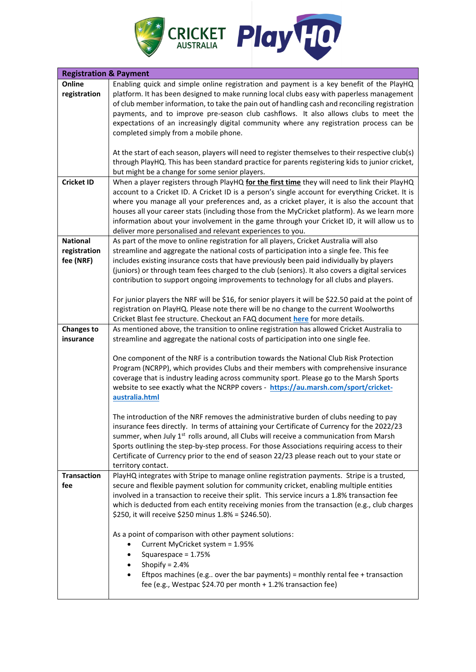

| <b>Registration &amp; Payment</b> |                                                                                                     |
|-----------------------------------|-----------------------------------------------------------------------------------------------------|
| Online                            | Enabling quick and simple online registration and payment is a key benefit of the PlayHQ            |
| registration                      | platform. It has been designed to make running local clubs easy with paperless management           |
|                                   | of club member information, to take the pain out of handling cash and reconciling registration      |
|                                   | payments, and to improve pre-season club cashflows. It also allows clubs to meet the                |
|                                   | expectations of an increasingly digital community where any registration process can be             |
|                                   | completed simply from a mobile phone.                                                               |
|                                   |                                                                                                     |
|                                   |                                                                                                     |
|                                   | At the start of each season, players will need to register themselves to their respective club(s)   |
|                                   | through PlayHQ. This has been standard practice for parents registering kids to junior cricket,     |
|                                   | but might be a change for some senior players.                                                      |
| <b>Cricket ID</b>                 | When a player registers through PlayHQ for the first time they will need to link their PlayHQ       |
|                                   | account to a Cricket ID. A Cricket ID is a person's single account for everything Cricket. It is    |
|                                   | where you manage all your preferences and, as a cricket player, it is also the account that         |
|                                   | houses all your career stats (including those from the MyCricket platform). As we learn more        |
|                                   | information about your involvement in the game through your Cricket ID, it will allow us to         |
|                                   | deliver more personalised and relevant experiences to you.                                          |
| <b>National</b>                   | As part of the move to online registration for all players, Cricket Australia will also             |
| registration                      | streamline and aggregate the national costs of participation into a single fee. This fee            |
| fee (NRF)                         | includes existing insurance costs that have previously been paid individually by players            |
|                                   | (juniors) or through team fees charged to the club (seniors). It also covers a digital services     |
|                                   | contribution to support ongoing improvements to technology for all clubs and players.               |
|                                   |                                                                                                     |
|                                   | For junior players the NRF will be \$16, for senior players it will be \$22.50 paid at the point of |
|                                   | registration on PlayHQ. Please note there will be no change to the current Woolworths               |
|                                   |                                                                                                     |
|                                   | Cricket Blast fee structure. Checkout an FAQ document here for more details.                        |
| <b>Changes to</b>                 | As mentioned above, the transition to online registration has allowed Cricket Australia to          |
| insurance                         | streamline and aggregate the national costs of participation into one single fee.                   |
|                                   |                                                                                                     |
|                                   | One component of the NRF is a contribution towards the National Club Risk Protection                |
|                                   | Program (NCRPP), which provides Clubs and their members with comprehensive insurance                |
|                                   | coverage that is industry leading across community sport. Please go to the Marsh Sports             |
|                                   | website to see exactly what the NCRPP covers - https://au.marsh.com/sport/cricket-                  |
|                                   | australia.html                                                                                      |
|                                   |                                                                                                     |
|                                   | The introduction of the NRF removes the administrative burden of clubs needing to pay               |
|                                   | insurance fees directly. In terms of attaining your Certificate of Currency for the 2022/23         |
|                                   | summer, when July 1 <sup>st</sup> rolls around, all Clubs will receive a communication from Marsh   |
|                                   | Sports outlining the step-by-step process. For those Associations requiring access to their         |
|                                   | Certificate of Currency prior to the end of season 22/23 please reach out to your state or          |
|                                   | territory contact.                                                                                  |
| <b>Transaction</b>                | PlayHQ integrates with Stripe to manage online registration payments. Stripe is a trusted,          |
| fee                               | secure and flexible payment solution for community cricket, enabling multiple entities              |
|                                   | involved in a transaction to receive their split. This service incurs a 1.8% transaction fee        |
|                                   | which is deducted from each entity receiving monies from the transaction (e.g., club charges        |
|                                   | \$250, it will receive \$250 minus 1.8% = \$246.50).                                                |
|                                   |                                                                                                     |
|                                   | As a point of comparison with other payment solutions:                                              |
|                                   | Current MyCricket system = 1.95%                                                                    |
|                                   | Squarespace = 1.75%                                                                                 |
|                                   | Shopify = $2.4%$                                                                                    |
|                                   |                                                                                                     |
|                                   | Eftpos machines (e.g over the bar payments) = monthly rental fee + transaction                      |
|                                   | fee (e.g., Westpac \$24.70 per month + 1.2% transaction fee)                                        |